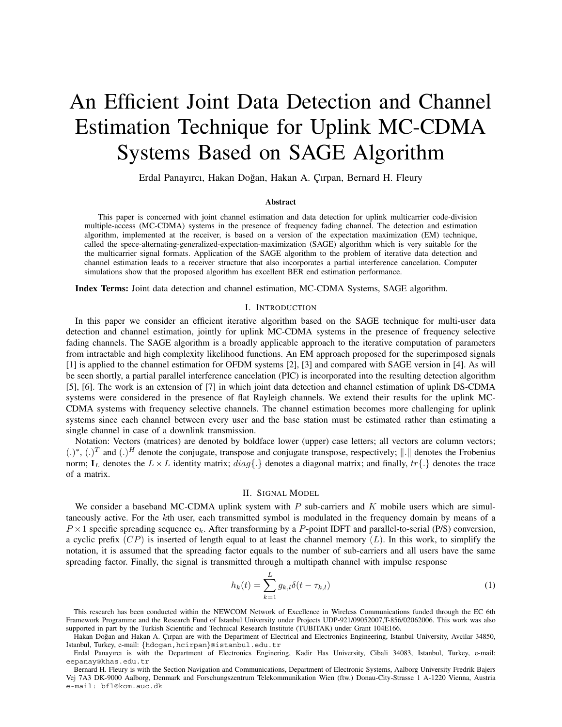# An Efficient Joint Data Detection and Channel Estimation Technique for Uplink MC-CDMA Systems Based on SAGE Algorithm

Erdal Panayırcı, Hakan Doğan, Hakan A. Çırpan, Bernard H. Fleury

## **Abstract**

This paper is concerned with joint channel estimation and data detection for uplink multicarrier code-division multiple-access (MC-CDMA) systems in the presence of frequency fading channel. The detection and estimation algorithm, implemented at the receiver, is based on a version of the expectation maximization (EM) technique, called the spece-alternating-generalized-expectation-maximization (SAGE) algorithm which is very suitable for the the multicarrier signal formats. Application of the SAGE algorithm to the problem of iterative data detection and channel estimation leads to a receiver structure that also incorporates a partial interference cancelation. Computer simulations show that the proposed algorithm has excellent BER end estimation performance.

**Index Terms:** Joint data detection and channel estimation, MC-CDMA Systems, SAGE algorithm.

## I. INTRODUCTION

In this paper we consider an efficient iterative algorithm based on the SAGE technique for multi-user data detection and channel estimation, jointly for uplink MC-CDMA systems in the presence of frequency selective fading channels. The SAGE algorithm is a broadly applicable approach to the iterative computation of parameters from intractable and high complexity likelihood functions. An EM approach proposed for the superimposed signals [1] is applied to the channel estimation for OFDM systems [2], [3] and compared with SAGE version in [4]. As will be seen shortly, a partial parallel interference cancelation (PIC) is incorporated into the resulting detection algorithm [5], [6]. The work is an extension of [7] in which joint data detection and channel estimation of uplink DS-CDMA systems were considered in the presence of flat Rayleigh channels. We extend their results for the uplink MC-CDMA systems with frequency selective channels. The channel estimation becomes more challenging for uplink systems since each channel between every user and the base station must be estimated rather than estimating a single channel in case of a downlink transmission.

Notation: Vectors (matrices) are denoted by boldface lower (upper) case letters; all vectors are column vectors;  $(.)^*$ ,  $(.)^T$  and  $(.)^H$  denote the conjugate, transpose and conjugate transpose, respectively;  $\|.\|$  denotes the Frobenius norm;  $\mathbf{I}_L$  denotes the  $L \times L$  identity matrix;  $diag\{\cdot\}$  denotes a diagonal matrix; and finally,  $tr\{\cdot\}$  denotes the trace of a matrix.

### II. SIGNAL MODEL

We consider a baseband MC-CDMA uplink system with  $P$  sub-carriers and  $K$  mobile users which are simultaneously active. For the kth user, each transmitted symbol is modulated in the frequency domain by means of a  $P \times 1$  specific spreading sequence  $c_k$ . After transforming by a P-point IDFT and parallel-to-serial (P/S) conversion, a cyclic prefix  $(CP)$  is inserted of length equal to at least the channel memory  $(L)$ . In this work, to simplify the notation, it is assumed that the spreading factor equals to the number of sub-carriers and all users have the same spreading factor. Finally, the signal is transmitted through a multipath channel with impulse response

$$
h_k(t) = \sum_{k=1}^{L} g_{k,l} \delta(t - \tau_{k,l})
$$
\n(1)

This research has been conducted within the NEWCOM Network of Excellence in Wireless Communications funded through the EC 6th Framework Programme and the Research Fund of Istanbul University under Projects UDP-921/09052007,T-856/02062006. This work was also supported in part by the Turkish Scientific and Technical Research Institute (TUBITAK) under Grant 104E166.

Hakan Doğan and Hakan A. Çırpan are with the Department of Electrical and Electronics Engineering, Istanbul University, Avcilar 34850, Istanbul, Turkey, e-mail: *{*hdogan,hcirpan*}*@istanbul.edu.tr

Erdal Panayırcı is with the Department of Electronics Enginering, Kadir Has University, Cibali 34083, Istanbul, Turkey, e-mail: eepanay@khas.edu.tr

Bernard H. Fleury is with the Section Navigation and Communications, Department of Electronic Systems, Aalborg University Fredrik Bajers Vej 7A3 DK-9000 Aalborg, Denmark and Forschungszentrum Telekommunikation Wien (ftw.) Donau-City-Strasse 1 A-1220 Vienna, Austria e-mail: bfl@kom.auc.dk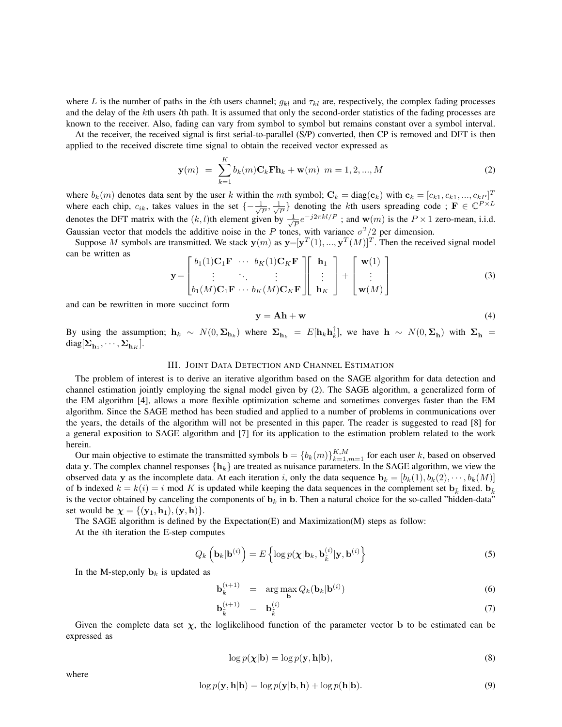where L is the number of paths in the kth users channel;  $g_{kl}$  and  $\tau_{kl}$  are, respectively, the complex fading processes and the delay of the kth users lth path. It is assumed that only the second-order statistics of the fading processes are known to the receiver. Also, fading can vary from symbol to symbol but remains constant over a symbol interval.

At the receiver, the received signal is first serial-to-parallel (S/P) converted, then CP is removed and DFT is then applied to the received discrete time signal to obtain the received vector expressed as

$$
\mathbf{y}(m) = \sum_{k=1}^{K} b_k(m) \mathbf{C}_k \mathbf{F} \mathbf{h}_k + \mathbf{w}(m) \ m = 1, 2, ..., M
$$
 (2)

where  $b_k(m)$  denotes data sent by the user k within the mth symbol;  $\mathbf{C}_k = \text{diag}(\mathbf{c}_k)$  with  $\mathbf{c}_k = [c_{k1}, c_{k1}, ..., c_{kP}]^T$ <br>where each chin  $c_k$ , takes values in the set  $\mathbf{c} = \frac{1}{k} - \frac{1}{k}$  denoting the kth users where each chip,  $c_{ik}$ , takes values in the set  $\{-\frac{1}{\sqrt{P}}, \frac{1}{\sqrt{P}}\}$  denoting the kth users spreading code;  $\mathbf{F} \in \mathbb{C}^{P \times L}$ denotes the DFT matrix with the  $(k, l)$ th element given by  $\frac{1}{\sqrt{p}}e^{-j2\pi kl/P}$ ; and **w**(m) is the P × 1 zero-mean, i.i.d. Gaussian vector that models the additive noise in the P tones, with variance  $\sigma^2/2$  per dimension.

Suppose M symbols are transmitted. We stack  $\mathbf{y}(m)$  as  $\mathbf{y}=[\mathbf{y}^T(1),...,\mathbf{y}^T(M)]^T$ . Then the received signal model can be written as

$$
\mathbf{y} = \begin{bmatrix} b_1(1)\mathbf{C}_1\mathbf{F} & \cdots & b_K(1)\mathbf{C}_K\mathbf{F} \\ \vdots & \ddots & \vdots \\ b_1(M)\mathbf{C}_1\mathbf{F} & \cdots & b_K(M)\mathbf{C}_K\mathbf{F} \end{bmatrix} \begin{bmatrix} \mathbf{h}_1 \\ \vdots \\ \mathbf{h}_K \end{bmatrix} + \begin{bmatrix} \mathbf{w}(1) \\ \vdots \\ \mathbf{w}(M) \end{bmatrix}
$$
(3)

and can be rewritten in more succinct form

$$
y = Ah + w \tag{4}
$$

By using the assumption;  $\mathbf{h}_k \sim N(0, \Sigma_{\mathbf{h}_k})$  where  $\Sigma_{\mathbf{h}_k} = E[\mathbf{h}_k \mathbf{h}_k^{\dagger}],$  we have  $\mathbf{h} \sim N(0, \Sigma_{\mathbf{h}})$  with  $\Sigma_{\mathbf{h}} = \text{diag}[\Sigma_{\mathbf{h}} \dots \Sigma_{\mathbf{h}}]$  $diag[\Sigma_{\mathbf{h}_1}, \cdots, \Sigma_{\mathbf{h}_K}].$ 

# III. JOINT DATA DETECTION AND CHANNEL ESTIMATION

The problem of interest is to derive an iterative algorithm based on the SAGE algorithm for data detection and channel estimation jointly employing the signal model given by (2). The SAGE algorithm, a generalized form of the EM algorithm [4], allows a more flexible optimization scheme and sometimes converges faster than the EM algorithm. Since the SAGE method has been studied and applied to a number of problems in communications over the years, the details of the algorithm will not be presented in this paper. The reader is suggested to read [8] for a general exposition to SAGE algorithm and [7] for its application to the estimation problem related to the work herein.

Our main objective to estimate the transmitted symbols  $\mathbf{b} = \{b_k(m)\}_{k=1,m=1}^{K,M}$  for each user k, based on observed<br>ta y. The complex channel responses  $\{b_k\}$  are treated as puisance parameters. In the SAGE algorithm, data **y**. The complex channel responses  $\{h_k\}$  are treated as nuisance parameters. In the SAGE algorithm, we view the observed data **y** as the incomplete data. At each iteration i, only the data sequence  $\mathbf{b}_k = [b_k(1), b_k(2), \dots, b_k(M)]$ of **b** indexed  $k = k(i) = i$  mod K is updated while keeping the data sequences in the complement set  $\mathbf{b}_{\vec{k}}$  fixed.  $\mathbf{b}_{\vec{k}}$ is the vector obtained by canceling the components of  $\mathbf{b}_k$  in  $\mathbf{b}$ . Then a natural choice for the so-called "hidden-data" set would be  $\chi = \{(\mathbf{y}_1, \mathbf{h}_1), (\mathbf{y}, \mathbf{h})\}.$ 

The SAGE algorithm is defined by the Expectation(E) and Maximization(M) steps as follow:

At the ith iteration the E-step computes

$$
Q_k\left(\mathbf{b}_k|\mathbf{b}^{(i)}\right) = E\left\{\log p(\boldsymbol{\chi}|\mathbf{b}_k, \mathbf{b}_{\tilde{k}}^{(i)}|\mathbf{y}, \mathbf{b}^{(i)}\right\}
$$
(5)

In the M-step, only  $\mathbf{b}_k$  is updated as

$$
\mathbf{b}_k^{(i+1)} = \arg \max_{\mathbf{b}} Q_k(\mathbf{b}_k | \mathbf{b}^{(i)})
$$
(6)

$$
\mathbf{b}_{\tilde{k}}^{(i+1)} = \mathbf{b}_{\tilde{k}}^{(i)} \tag{7}
$$

Given the complete data set  $\chi$ , the loglikelihood function of the parameter vector **b** to be estimated can be expressed as

$$
\log p(\mathbf{\chi}|\mathbf{b}) = \log p(\mathbf{y}, \mathbf{h}|\mathbf{b}),\tag{8}
$$

where

$$
\log p(\mathbf{y}, \mathbf{h}|\mathbf{b}) = \log p(\mathbf{y}|\mathbf{b}, \mathbf{h}) + \log p(\mathbf{h}|\mathbf{b}).
$$
\n(9)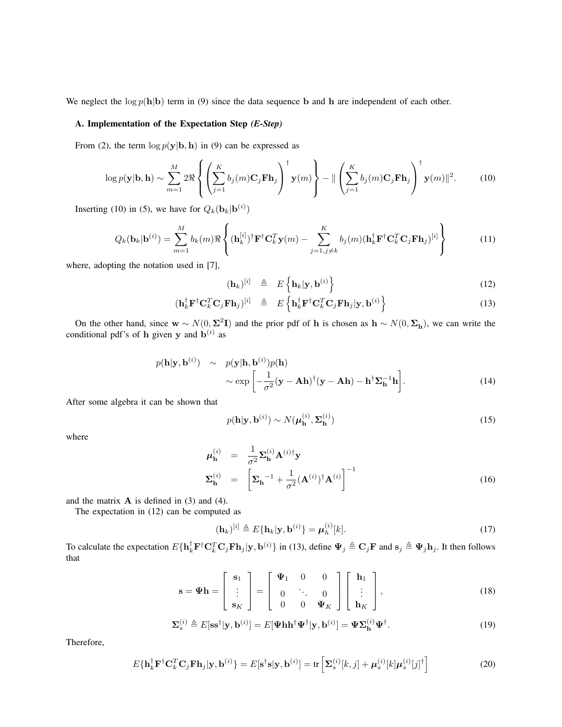We neglect the  $\log p(\mathbf{h}|\mathbf{b})$  term in (9) since the data sequence **b** and **h** are independent of each other.

# **A. Implementation of the Expectation Step** *(E-Step)*

From (2), the term  $\log p(\mathbf{y}|\mathbf{b}, \mathbf{h})$  in (9) can be expressed as

$$
\log p(\mathbf{y}|\mathbf{b}, \mathbf{h}) \sim \sum_{m=1}^{M} 2\Re \left\{ \left( \sum_{j=1}^{K} b_j(m) \mathbf{C}_j \mathbf{F} \mathbf{h}_j \right)^{\dagger} \mathbf{y}(m) \right\} - || \left( \sum_{j=1}^{K} b_j(m) \mathbf{C}_j \mathbf{F} \mathbf{h}_j \right)^{\dagger} \mathbf{y}(m) ||^2. \tag{10}
$$

Inserting (10) in (5), we have for  $Q_k(\mathbf{b}_k | \mathbf{b}^{(i)})$ 

$$
Q_k(\mathbf{b}_k|\mathbf{b}^{(i)}) = \sum_{m=1}^M b_k(m) \Re \left\{ (\mathbf{h}_k^{[i]})^\dagger \mathbf{F}^\dagger \mathbf{C}_k^T \mathbf{y}(m) - \sum_{j=1, j \neq k}^K b_j(m) (\mathbf{h}_k^\dagger \mathbf{F}^\dagger \mathbf{C}_k^T \mathbf{C}_j \mathbf{F} \mathbf{h}_j)^{[i]} \right\}
$$
(11)

where, adopting the notation used in [7],

$$
(\mathbf{h}_k)^{[i]} \triangleq E\left\{\mathbf{h}_k|\mathbf{y},\mathbf{b}^{(i)}\right\} \tag{12}
$$

$$
(\mathbf{h}_{k}^{\dagger} \mathbf{F}^{\dagger} \mathbf{C}_{k}^{T} \mathbf{C}_{j} \mathbf{F} \mathbf{h}_{j})^{[i]} \triangleq E \left\{ \mathbf{h}_{k}^{\dagger} \mathbf{F}^{\dagger} \mathbf{C}_{k}^{T} \mathbf{C}_{j} \mathbf{F} \mathbf{h}_{j} | \mathbf{y}, \mathbf{b}^{(i)} \right\}
$$
(13)

On the other hand, since  $\mathbf{w} \sim N(0, \Sigma^2 \mathbf{I})$  and the prior pdf of **h** is chosen as  $\mathbf{h} \sim N(0, \Sigma_{\mathbf{h}})$ , we can write the conditional pdf's of **h** given **y** and  $\mathbf{b}^{(i)}$  as

$$
p(\mathbf{h}|\mathbf{y}, \mathbf{b}^{(i)}) \sim p(\mathbf{y}|\mathbf{h}, \mathbf{b}^{(i)})p(\mathbf{h})
$$

$$
\sim \exp\left[-\frac{1}{\sigma^2}(\mathbf{y} - \mathbf{A}\mathbf{h})^\dagger(\mathbf{y} - \mathbf{A}\mathbf{h}) - \mathbf{h}^\dagger\boldsymbol{\Sigma}_{\mathbf{h}}^{-1}\mathbf{h}\right].
$$
 (14)

After some algebra it can be shown that

$$
p(\mathbf{h}|\mathbf{y}, \mathbf{b}^{(i)}) \sim N(\boldsymbol{\mu}_{\mathbf{h}}^{(i)}, \boldsymbol{\Sigma}_{\mathbf{h}}^{(i)})
$$
\n(15)

where

$$
\mu_{\mathbf{h}}^{(i)} = \frac{1}{\sigma^2} \Sigma_{\mathbf{h}}^{(i)} \mathbf{A}^{(i)\dagger} \mathbf{y}
$$

$$
\Sigma_{\mathbf{h}}^{(i)} = \left[ \Sigma_{\mathbf{h}}^{-1} + \frac{1}{\sigma^2} (\mathbf{A}^{(i)})^{\dagger} \mathbf{A}^{(i)} \right]^{-1}
$$
(16)

and the matrix **A** is defined in (3) and (4).

The expectation in (12) can be computed as

$$
(\mathbf{h}_k)^{[i]} \triangleq E{\mathbf{h}_k|\mathbf{y}, \mathbf{b}^{(i)}\} = \boldsymbol{\mu}_h^{(i)}[k].
$$
\n(17)

To calculate the expectation  $E\{\mathbf{h}_k^{\dagger} \mathbf{F}^{\dagger} \mathbf{C}_k^T \mathbf{C}_j \mathbf{F} \mathbf{h}_j | \mathbf{y}, \mathbf{b}^{(i)}\}$  in (13), define  $\Psi_j \triangleq \mathbf{C}_j \mathbf{F}$  and  $\mathbf{s}_j \triangleq \Psi_j \mathbf{h}_j$ . It then follows that

$$
\mathbf{s} = \mathbf{\Psi} \mathbf{h} = \begin{bmatrix} \mathbf{s}_1 \\ \vdots \\ \mathbf{s}_K \end{bmatrix} = \begin{bmatrix} \mathbf{\Psi}_1 & 0 & 0 \\ 0 & \ddots & 0 \\ 0 & 0 & \mathbf{\Psi}_K \end{bmatrix} \begin{bmatrix} \mathbf{h}_1 \\ \vdots \\ \mathbf{h}_K \end{bmatrix},
$$
(18)

$$
\Sigma_s^{(i)} \triangleq E[\mathbf{s}\mathbf{s}^\dagger|\mathbf{y}, \mathbf{b}^{(i)}] = E[\mathbf{\Psi}\mathbf{h}\mathbf{h}^\dagger\mathbf{\Psi}^\dagger|\mathbf{y}, \mathbf{b}^{(i)}] = \mathbf{\Psi}\Sigma_\mathbf{h}^{(i)}\mathbf{\Psi}^\dagger. \tag{19}
$$

Therefore,

$$
E\{\mathbf{h}_k^{\dagger} \mathbf{F}^{\dagger} \mathbf{C}_k^T \mathbf{C}_j \mathbf{F} \mathbf{h}_j | \mathbf{y}, \mathbf{b}^{(i)}\} = E[\mathbf{s}^{\dagger} \mathbf{s} | \mathbf{y}, \mathbf{b}^{(i)}] = \text{tr}\left[\Sigma_s^{(i)}[k, j] + \mu_s^{(i)}[k] \mu_s^{(i)}[j]^{\dagger}\right]
$$
(20)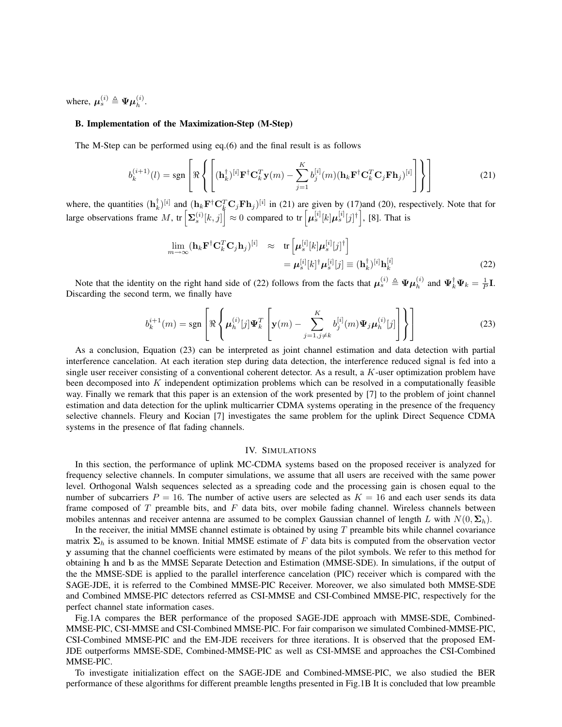where,  $\mu_s^{(i)} \triangleq \Psi \mu_h^{(i)}$ .

## **B. Implementation of the Maximization-Step (M-Step)**

The M-Step can be performed using eq.(6) and the final result is as follows

$$
b_k^{(i+1)}(l) = \text{sgn}\left[\Re\left\{ \left[ (\mathbf{h}_k^{\dagger})^{[i]} \mathbf{F}^{\dagger} \mathbf{C}_k^T \mathbf{y}(m) - \sum_{j=1}^K b_j^{[i]}(m) (\mathbf{h}_k \mathbf{F}^{\dagger} \mathbf{C}_k^T \mathbf{C}_j \mathbf{F} \mathbf{h}_j)^{[i]} \right] \right\} \right]
$$
(21)

where, the quantities  $(\mathbf{h}_k^{\dagger})^{[i]}$  and  $(\mathbf{h}_k \mathbf{F}^{\dagger} \mathbf{C}_k^T \mathbf{C}_j \mathbf{F} \mathbf{h}_j)^{[i]}$  in (21) are given by (17)and (20), respectively. Note that for large observations frame M, tr  $\left[\Sigma_s^{(i)}[k,j]\right] \approx 0$  compared to tr  $\left[\mu_s^{[i]}[k]\mu_s^{[i]}[j]\right]$ , [8]. That is

$$
\lim_{m \to \infty} (\mathbf{h}_k \mathbf{F}^\dagger \mathbf{C}_k^T \mathbf{C}_j \mathbf{h}_j)^{[i]} \approx \text{tr} \left[ \boldsymbol{\mu}_s^{[i]}[k] \boldsymbol{\mu}_s^{[i]}[j]^\dagger \right] \n= \boldsymbol{\mu}_s^{[i]}[k]^\dagger \boldsymbol{\mu}_s^{[i]}[j] \equiv (\mathbf{h}_k^\dagger)^{[i]} \mathbf{h}_k^{[i]} \tag{22}
$$

Note that the identity on the right hand side of (22) follows from the facts that  $\mu_s^{(i)} \triangleq \Psi \mu_h^{(i)}$  and  $\Psi_k^{\dagger} \Psi_k = \frac{1}{P} \mathbf{I}$ . Discarding the second term, we finally have

$$
b_k^{i+1}(m) = \text{sgn}\left[\Re\left\{\mu_h^{(i)}[j]\Psi_k^T\left[\mathbf{y}(m) - \sum_{j=1,j\neq k}^K b_j^{[i]}(m)\Psi_j\mu_h^{(i)}[j]\right]\right\}\right]
$$
(23)

As a conclusion, Equation (23) can be interpreted as joint channel estimation and data detection with partial interference cancelation. At each iteration step during data detection, the interference reduced signal is fed into a single user receiver consisting of a conventional coherent detector. As a result, a K-user optimization problem have been decomposed into  $K$  independent optimization problems which can be resolved in a computationally feasible way. Finally we remark that this paper is an extension of the work presented by [7] to the problem of joint channel estimation and data detection for the uplink multicarrier CDMA systems operating in the presence of the frequency selective channels. Fleury and Kocian [7] investigates the same problem for the uplink Direct Sequence CDMA systems in the presence of flat fading channels.

## IV. SIMULATIONS

In this section, the performance of uplink MC-CDMA systems based on the proposed receiver is analyzed for frequency selective channels. In computer simulations, we assume that all users are received with the same power level. Orthogonal Walsh sequences selected as a spreading code and the processing gain is chosen equal to the number of subcarriers  $P = 16$ . The number of active users are selected as  $K = 16$  and each user sends its data frame composed of T preamble bits, and F data bits, over mobile fading channel. Wireless channels between mobiles antennas and receiver antenna are assumed to be complex Gaussian channel of length L with  $N(0, \Sigma_h)$ .

In the receiver, the initial MMSE channel estimate is obtained by using  $T$  preamble bits while channel covariance matrix  $\Sigma_h$  is assumed to be known. Initial MMSE estimate of F data bits is computed from the observation vector **y** assuming that the channel coefficients were estimated by means of the pilot symbols. We refer to this method for obtaining **h** and **b** as the MMSE Separate Detection and Estimation (MMSE-SDE). In simulations, if the output of the the MMSE-SDE is applied to the parallel interference cancelation (PIC) receiver which is compared with the SAGE-JDE, it is referred to the Combined MMSE-PIC Receiver. Moreover, we also simulated both MMSE-SDE and Combined MMSE-PIC detectors referred as CSI-MMSE and CSI-Combined MMSE-PIC, respectively for the perfect channel state information cases.

Fig.1A compares the BER performance of the proposed SAGE-JDE approach with MMSE-SDE, Combined-MMSE-PIC, CSI-MMSE and CSI-Combined MMSE-PIC. For fair comparison we simulated Combined-MMSE-PIC, CSI-Combined MMSE-PIC and the EM-JDE receivers for three iterations. It is observed that the proposed EM-JDE outperforms MMSE-SDE, Combined-MMSE-PIC as well as CSI-MMSE and approaches the CSI-Combined MMSE-PIC.

To investigate initialization effect on the SAGE-JDE and Combined-MMSE-PIC, we also studied the BER performance of these algorithms for different preamble lengths presented in Fig.1B It is concluded that low preamble